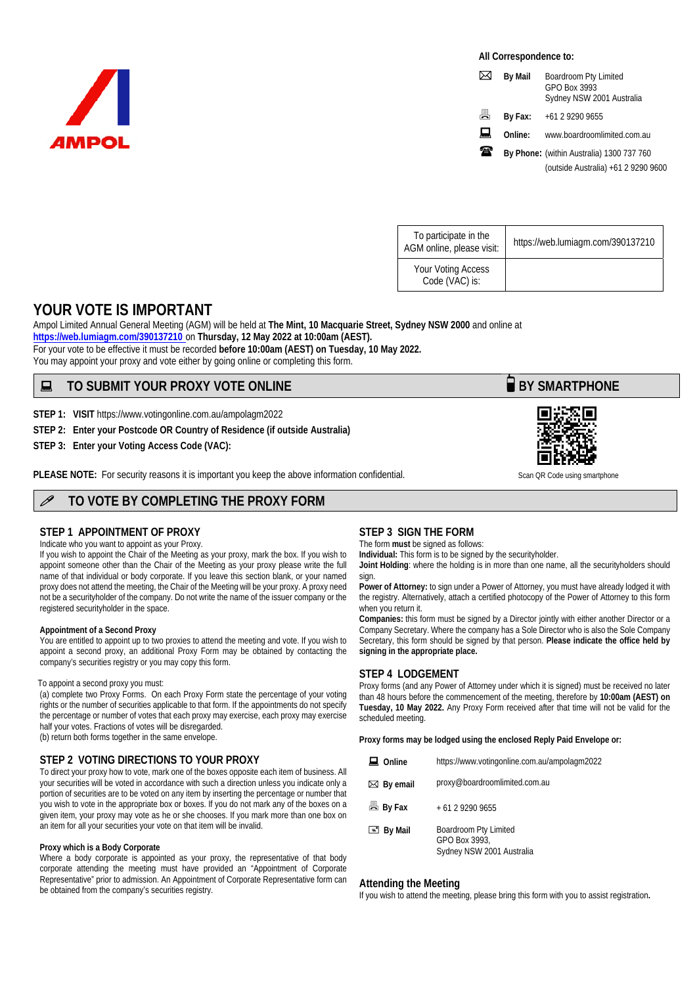

**All Correspondence to:** 

|   | <b>By Mail</b> | Boardroom Pty Limited<br>GPO Box 3993<br>Sydney NSW 2001 Australia |
|---|----------------|--------------------------------------------------------------------|
| 昌 | By Fax:        | +61 2 9290 9655                                                    |
| ᇦ | Online:        | www.boardroomlimited.com.au                                        |
| ₩ |                | By Phone: (within Australia) 1300 737 760                          |
|   |                | (outside Australia) +61 2 9290 9600                                |

| To participate in the<br>AGM online, please visit: | https://web.lumiagm.com/390137210 |
|----------------------------------------------------|-----------------------------------|
| Your Voting Access<br>Code (VAC) is:               |                                   |

# **YOUR VOTE IS IMPORTANT**

Ampol Limited Annual General Meeting (AGM) will be held at **The Mint, 10 Macquarie Street, Sydney NSW 2000** and online at **https://web.lumiagm.com/390137210** on **Thursday, 12 May 2022 at 10:00am (AEST).** For your vote to be effective it must be recorded **before 10:00am (AEST) on Tuesday, 10 May 2022.**  You may appoint your proxy and vote either by going online or completing this form.

# ■ TO SUBMIT YOUR PROXY VOTE ONLINE **BUSING A SOLUTION BY SMARTPHONE**

**STEP 1: VISIT** https://www.votingonline.com.au/ampolagm2022

**STEP 2: Enter your Postcode OR Country of Residence (if outside Australia)**

**STEP 3: Enter your Voting Access Code (VAC):** 

**PLEASE NOTE:** For security reasons it is important you keep the above information confidential. Scan QR Code using smartphone

# **TO VOTE BY COMPLETING THE PROXY FORM**

### **STEP 1 APPOINTMENT OF PROXY**

Indicate who you want to appoint as your Proxy.

If you wish to appoint the Chair of the Meeting as your proxy, mark the box. If you wish to appoint someone other than the Chair of the Meeting as your proxy please write the full name of that individual or body corporate. If you leave this section blank, or your named proxy does not attend the meeting, the Chair of the Meeting will be your proxy. A proxy need not be a securityholder of the company. Do not write the name of the issuer company or the registered securityholder in the space.

#### **Appointment of a Second Proxy**

You are entitled to appoint up to two proxies to attend the meeting and vote. If you wish to appoint a second proxy, an additional Proxy Form may be obtained by contacting the company's securities registry or you may copy this form.

#### To appoint a second proxy you must:

(a) complete two Proxy Forms. On each Proxy Form state the percentage of your voting rights or the number of securities applicable to that form. If the appointments do not specify the percentage or number of votes that each proxy may exercise, each proxy may exercise half your votes. Fractions of votes will be disregarded. (b) return both forms together in the same envelope.

### **STEP 2 VOTING DIRECTIONS TO YOUR PROXY**

To direct your proxy how to vote, mark one of the boxes opposite each item of business. All your securities will be voted in accordance with such a direction unless you indicate only a portion of securities are to be voted on any item by inserting the percentage or number that you wish to vote in the appropriate box or boxes. If you do not mark any of the boxes on a given item, your proxy may vote as he or she chooses. If you mark more than one box on an item for all your securities your vote on that item will be invalid.

#### **Proxy which is a Body Corporate**

Where a body corporate is appointed as your proxy, the representative of that body corporate attending the meeting must have provided an "Appointment of Corporate Representative" prior to admission. An Appointment of Corporate Representative form can be obtained from the company's securities registry.

### **STEP 3 SIGN THE FORM**

The form **must** be signed as follows:

**Individual:** This form is to be signed by the securityholder.

**Joint Holding**: where the holding is in more than one name, all the securityholders should sign.

**Power of Attorney:** to sign under a Power of Attorney, you must have already lodged it with the registry. Alternatively, attach a certified photocopy of the Power of Attorney to this form when you return it.

**Companies:** this form must be signed by a Director jointly with either another Director or a Company Secretary. Where the company has a Sole Director who is also the Sole Company Secretary, this form should be signed by that person. **Please indicate the office held by signing in the appropriate place.**

### **STEP 4 LODGEMENT**

Proxy forms (and any Power of Attorney under which it is signed) must be received no later than 48 hours before the commencement of the meeting, therefore by **10:00am (AEST) on Tuesday, 10 May 2022.** Any Proxy Form received after that time will not be valid for the scheduled meeting.

**Proxy forms may be lodged using the enclosed Reply Paid Envelope or:** 

| $\Box$ Online | https://www.votingonline.com.au/ampolagm2022 |  |
|---------------|----------------------------------------------|--|
|               |                                              |  |

| $\boxtimes$ By email | proxy@boardroomlimited.com.au |
|----------------------|-------------------------------|
|----------------------|-------------------------------|

| 昌 By Fax | + 61 2 9290 9655 |
|----------|------------------|
|----------|------------------|

| $\equiv$ By Mail | Boardroom Pty Limited     |
|------------------|---------------------------|
|                  | GPO Box 3993.             |
|                  | Sydney NSW 2001 Australia |

#### **Attending the Meeting**

If you wish to attend the meeting, please bring this form with you to assist registration**.**